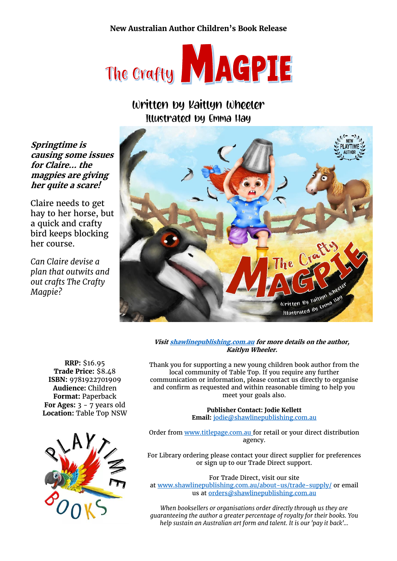# **New Australian Author Children's Book Release**



# Written by Kaitlyn Wheeler Illustrated by Emma Hay

**Springtime is causing some issues for Claire… the magpies are giving her quite a scare!**

Claire needs to get hay to her horse, but a quick and crafty bird keeps blocking her course.

*Can Claire devise a plan that outwits and out crafts The Crafty Magpie?*



**Visi[t shawlinepublishing.com.au](https://www.shawlinepublishing.com.au/our-titles/childrens-books/display/176-the-crafty-magpie) for more details on the author, Kaitlyn Wheeler.**

**RRP:** \$16.95 **Trade Price:** \$8.48 **ISBN:** 9781922701909 **Audience:** Children **Format:** Paperback **For Ages:** 3 - 7 years old **Location:** Table Top NSW



Thank you for supporting a new young children book author from the local community of Table Top. If you require any further communication or information, please contact us directly to organise and confirm as requested and within reasonable timing to help you meet your goals also.

> **Publisher Contact: Jodie Kellett Email:** [jodie@shawlinepublishing.com.au](mailto:jodie@shawlinepublishing.com.au)

Order from [www.titlepage.com.au](http://www.titlepage.com.au/) for retail or your direct distribution agency.

For Library ordering please contact your direct supplier for preferences or sign up to our Trade Direct support.

For Trade Direct, visit our site at [www.shawlinepublishing.com.au/about-us/trade-supply/](http://www.shawlinepublishing.com.au/about-us/trade-supply/) or email us a[t orders@shawlinepublishing.com.au](mailto:orders@shawlinepublishing.com.au)

*When booksellers or organisations order directly through us they are guaranteeing the author a greater percentage of royalty for their books. You help sustain an Australian art form and talent. It is our 'pay it back'...*